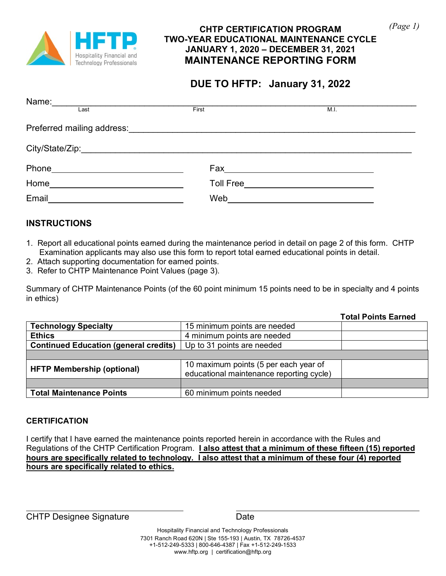

#### **CHTP CERTIFICATION PROGRAM TWO-YEAR EDUCATIONAL MAINTENANCE CYCLE JANUARY 1, 2020 – DECEMBER 31, 2021 MAINTENANCE REPORTING FORM**

# **EPORTING FORM DUE TO HFTP: January 31, 2022**

| Name:<br>the control of the control of the control of the control of the control of the control of |       |      |  |
|----------------------------------------------------------------------------------------------------|-------|------|--|
| Last                                                                                               | First | M.I. |  |
|                                                                                                    |       |      |  |
|                                                                                                    |       |      |  |
| Phone<br><u> 1989 - Johann Barbara, martxa alemaniar a</u>                                         |       |      |  |
| Home_______________________________                                                                |       |      |  |
| Email                                                                                              | Web   |      |  |

### **INSTRUCTIONS**

- 1. Report all educational points earned during the maintenance period in detail on page 2 of this form. CHTP Examination applicants may also use this form to report total earned educational points in detail.
- 2. Attach supporting documentation for earned points.
- 3. Refer to CHTP Maintenance Point Values (page 3).

Summary of CHTP Maintenance Points (of the 60 point minimum 15 points need to be in specialty and 4 points in ethics)

|                                              |                                          | <b>Total Points Earned</b> |
|----------------------------------------------|------------------------------------------|----------------------------|
| <b>Technology Specialty</b>                  | 15 minimum points are needed             |                            |
| <b>Ethics</b>                                | 4 minimum points are needed              |                            |
| <b>Continued Education (general credits)</b> | Up to 31 points are needed               |                            |
|                                              |                                          |                            |
| <b>HFTP Membership (optional)</b>            | 10 maximum points (5 per each year of    |                            |
|                                              | educational maintenance reporting cycle) |                            |
|                                              |                                          |                            |
| <b>Total Maintenance Points</b>              | 60 minimum points needed                 |                            |

#### **CERTIFICATION**

I certify that I have earned the maintenance points reported herein in accordance with the Rules and Regulations of the CHTP Certification Program. **I also attest that a minimum of these fifteen (15) reported hours are specifically related to technology. I also attest that a minimum of these four (4) reported hours are specifically related to ethics.**

CHTP Designee Signature Date

Hospitality Financial and Technology Professionals 7301 Ranch Road 620N | Ste 155-193 | Austin, TX 78726-4537 +1-512-249-5333 | 800-646-4387 | Fax +1-512-249-1533 [www.hftp.org](http://www.hftp.org/) | certification@hftp.org

*(Page 1)*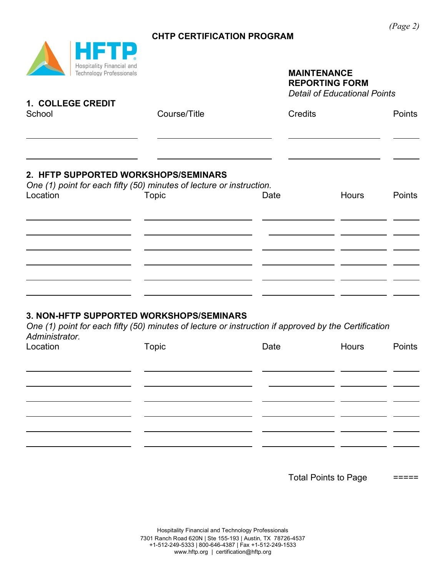## **CHTP CERTIFICATION PROGRAM**



# **MAINTENANCE REPORTING FORM**

*Detail of Educational Points*

| 1. COLLEGE CREDIT<br>School                                                                                              | Course/Title | <b>Credits</b> |              | <b>Points</b> |
|--------------------------------------------------------------------------------------------------------------------------|--------------|----------------|--------------|---------------|
|                                                                                                                          |              |                |              |               |
| 2. HFTP SUPPORTED WORKSHOPS/SEMINARS<br>One (1) point for each fifty (50) minutes of lecture or instruction.<br>Location | Topic        | Date           | <b>Hours</b> | <b>Points</b> |
|                                                                                                                          |              |                |              |               |
|                                                                                                                          |              |                |              |               |
|                                                                                                                          |              |                |              |               |

#### **3. NON-HFTP SUPPORTED WORKSHOPS/SEMINARS**

*One (1) point for each fifty (50) minutes of lecture or instruction if approved by the Certification Administrator.*

| Location | Topic | Date | Hours | Points |
|----------|-------|------|-------|--------|
|          |       |      |       |        |
|          |       |      |       |        |
|          |       |      |       |        |
|          |       |      |       |        |
|          |       |      |       |        |
|          |       |      |       |        |
|          |       |      |       |        |

Total Points to Page =====